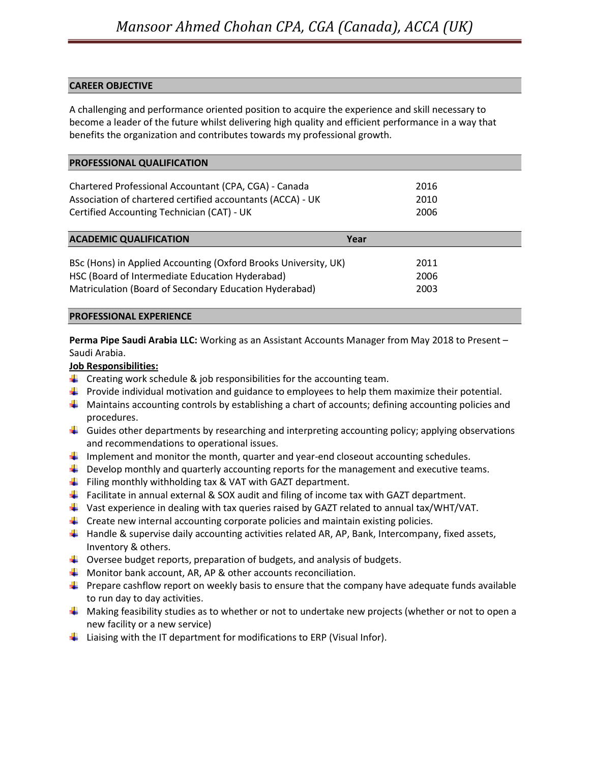# CAREER OBJECTIVE

A challenging and performance oriented position to acquire the experience and skill necessary to become a leader of the future whilst delivering high quality and efficient performance in a way that benefits the organization and contributes towards my professional growth.

| <b>PROFESSIONAL QUALIFICATION</b>                               |      |
|-----------------------------------------------------------------|------|
| Chartered Professional Accountant (CPA, CGA) - Canada           | 2016 |
| Association of chartered certified accountants (ACCA) - UK      | 2010 |
| Certified Accounting Technician (CAT) - UK                      | 2006 |
| <b>ACADEMIC QUALIFICATION</b>                                   | Year |
| BSc (Hons) in Applied Accounting (Oxford Brooks University, UK) | 2011 |
| HSC (Board of Intermediate Education Hyderabad)                 | 2006 |
| Matriculation (Board of Secondary Education Hyderabad)          | 2003 |
|                                                                 |      |

# PROFESSIONAL EXPERIENCE

Perma Pipe Saudi Arabia LLC: Working as an Assistant Accounts Manager from May 2018 to Present – Saudi Arabia.

# Job Responsibilities:

- $\Box$  Creating work schedule & job responsibilities for the accounting team.
- **Provide individual motivation and guidance to employees to help them maximize their potential.**
- $\Box$  Maintains accounting controls by establishing a chart of accounts; defining accounting policies and procedures.
- $\Box$  Guides other departments by researching and interpreting accounting policy; applying observations and recommendations to operational issues.
- Implement and monitor the month, quarter and year-end closeout accounting schedules.
- $\Box$  Develop monthly and quarterly accounting reports for the management and executive teams.
- $\Box$  Filing monthly withholding tax & VAT with GAZT department.
- **Facilitate in annual external & SOX audit and filing of income tax with GAZT department.**
- Vast experience in dealing with tax queries raised by GAZT related to annual tax/WHT/VAT.
- $\Box$  Create new internal accounting corporate policies and maintain existing policies.
- $\blacktriangleleft$  Handle & supervise daily accounting activities related AR, AP, Bank, Intercompany, fixed assets, Inventory & others.
- $\Box$  Oversee budget reports, preparation of budgets, and analysis of budgets.
- $\downarrow$  Monitor bank account, AR, AP & other accounts reconciliation.
- $\Box$  Prepare cashflow report on weekly basis to ensure that the company have adequate funds available to run day to day activities.
- $\blacktriangleleft$  Making feasibility studies as to whether or not to undertake new projects (whether or not to open a new facility or a new service)
- $\blacksquare$  Liaising with the IT department for modifications to ERP (Visual Infor).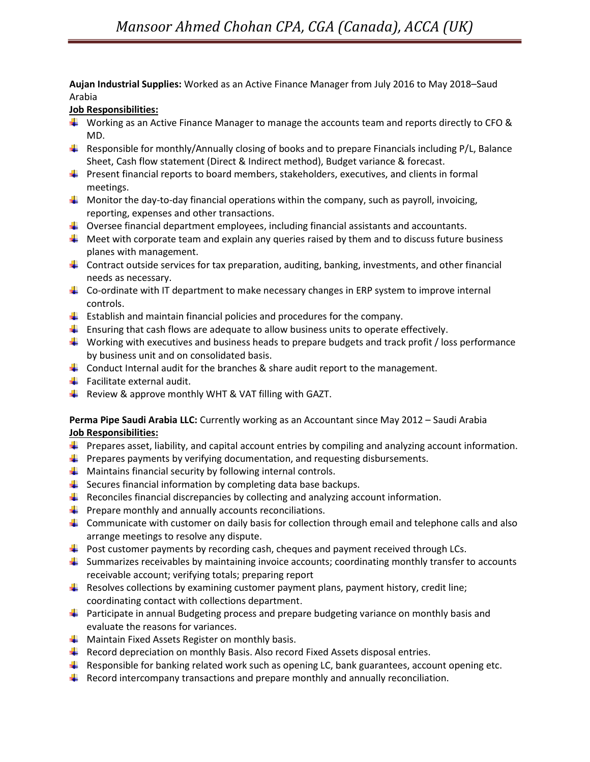Aujan Industrial Supplies: Worked as an Active Finance Manager from July 2016 to May 2018-Saud Arabia

### Job Responsibilities:

- Working as an Active Finance Manager to manage the accounts team and reports directly to CFO  $\&$ MD.
- **Responsible for monthly/Annually closing of books and to prepare Financials including P/L, Balance** Sheet, Cash flow statement (Direct & Indirect method), Budget variance & forecast.
- $\Box$  Present financial reports to board members, stakeholders, executives, and clients in formal meetings.
- $\Box$  Monitor the day-to-day financial operations within the company, such as payroll, invoicing, reporting, expenses and other transactions.
- $\Box$  Oversee financial department employees, including financial assistants and accountants.
- $\Box$  Meet with corporate team and explain any queries raised by them and to discuss future business planes with management.
- $\Box$  Contract outside services for tax preparation, auditing, banking, investments, and other financial needs as necessary.
- $\Box$  Co-ordinate with IT department to make necessary changes in ERP system to improve internal controls.
- $\blacksquare$  Establish and maintain financial policies and procedures for the company.
- **E** Ensuring that cash flows are adequate to allow business units to operate effectively.
- Working with executives and business heads to prepare budgets and track profit / loss performance by business unit and on consolidated basis.
- Conduct Internal audit for the branches  $\&$  share audit report to the management.
- $\blacksquare$  Facilitate external audit.
- **F** Review & approve monthly WHT & VAT filling with GAZT.

# Perma Pipe Saudi Arabia LLC: Currently working as an Accountant since May 2012 - Saudi Arabia Job Responsibilities:

- **Prepares asset, liability, and capital account entries by compiling and analyzing account information.**
- $\Box$  Prepares payments by verifying documentation, and requesting disbursements.
- $\Box$  Maintains financial security by following internal controls.
- $\downarrow$  Secures financial information by completing data base backups.
- **Reconciles financial discrepancies by collecting and analyzing account information.**
- $\Box$  Prepare monthly and annually accounts reconciliations.
- **L** Communicate with customer on daily basis for collection through email and telephone calls and also arrange meetings to resolve any dispute.
- $\blacktriangle$  Post customer payments by recording cash, cheques and payment received through LCs.
- Summarizes receivables by maintaining invoice accounts; coordinating monthly transfer to accounts receivable account; verifying totals; preparing report
- **Resolves collections by examining customer payment plans, payment history, credit line;** coordinating contact with collections department.
- **Participate in annual Budgeting process and prepare budgeting variance on monthly basis and** evaluate the reasons for variances.
- $\Box$  Maintain Fixed Assets Register on monthly basis.
- $\blacktriangle$  Record depreciation on monthly Basis. Also record Fixed Assets disposal entries.
- **Responsible for banking related work such as opening LC, bank guarantees, account opening etc.**
- $\blacktriangle$  Record intercompany transactions and prepare monthly and annually reconciliation.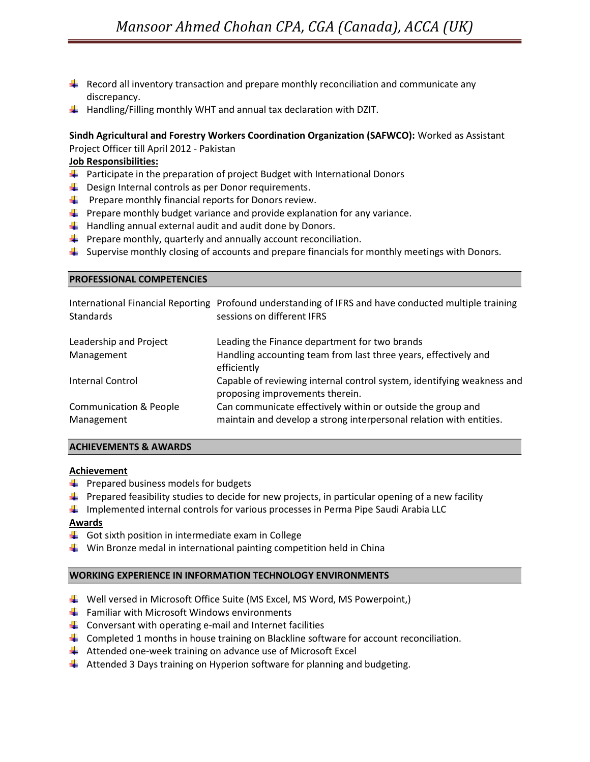- **Record all inventory transaction and prepare monthly reconciliation and communicate any** discrepancy.
- $\blacksquare$  Handling/Filling monthly WHT and annual tax declaration with DZIT.

### Sindh Agricultural and Forestry Workers Coordination Organization (SAFWCO): Worked as Assistant Project Officer till April 2012 - Pakistan

Job Responsibilities:

- **Participate in the preparation of project Budget with International Donors**
- $\downarrow$  Design Internal controls as per Donor requirements.
- $\Box$  Prepare monthly financial reports for Donors review.
- $\Box$  Prepare monthly budget variance and provide explanation for any variance.
- $\Box$  Handling annual external audit and audit done by Donors.
- $\downarrow$  Prepare monthly, quarterly and annually account reconciliation.
- **L** Supervise monthly closing of accounts and prepare financials for monthly meetings with Donors.

#### PROFESSIONAL COMPETENCIES

| <b>Standards</b>                                | International Financial Reporting Profound understanding of IFRS and have conducted multiple training<br>sessions on different IFRS |
|-------------------------------------------------|-------------------------------------------------------------------------------------------------------------------------------------|
| Leadership and Project                          | Leading the Finance department for two brands                                                                                       |
| Management                                      | Handling accounting team from last three years, effectively and<br>efficiently                                                      |
| <b>Internal Control</b>                         | Capable of reviewing internal control system, identifying weakness and<br>proposing improvements therein.                           |
| <b>Communication &amp; People</b><br>Management | Can communicate effectively within or outside the group and<br>maintain and develop a strong interpersonal relation with entities.  |

### ACHIEVEMENTS & AWARDS

### **Achievement**

- $\blacksquare$  Prepared business models for budgets
- **Prepared feasibility studies to decide for new projects, in particular opening of a new facility**
- Implemented internal controls for various processes in Perma Pipe Saudi Arabia LLC

### Awards

- $\Box$  Got sixth position in intermediate exam in College
- $\downarrow$  Win Bronze medal in international painting competition held in China

### WORKING EXPERIENCE IN INFORMATION TECHNOLOGY ENVIRONMENTS

- Well versed in Microsoft Office Suite (MS Excel, MS Word, MS Powerpoint,)
- $\frac{1}{2}$  Familiar with Microsoft Windows environments
- $\Box$  Conversant with operating e-mail and Internet facilities
- **Completed 1 months in house training on Blackline software for account reconciliation.**
- Attended one-week training on advance use of Microsoft Excel
- $\Box$  Attended 3 Days training on Hyperion software for planning and budgeting.